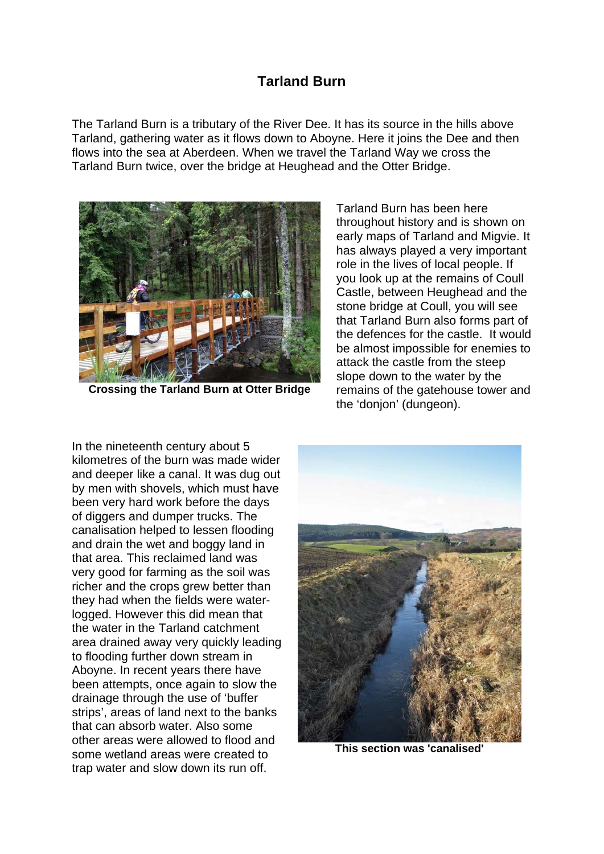## **Tarland Burn**

The Tarland Burn is a tributary of the River Dee. It has its source in the hills above Tarland, gathering water as it flows down to Aboyne. Here it joins the Dee and then flows into the sea at Aberdeen. When we travel the Tarland Way we cross the Tarland Burn twice, over the bridge at Heughead and the Otter Bridge.



**Crossing the Tarland Burn at Otter Bridge** 

Tarland Burn has been here throughout history and is shown on early maps of Tarland and Migvie. It has always played a very important role in the lives of local people. If you look up at the remains of Coull Castle, between Heughead and the stone bridge at Coull, you will see that Tarland Burn also forms part of the defences for the castle. It would be almost impossible for enemies to attack the castle from the steep slope down to the water by the remains of the gatehouse tower and the 'donjon' (dungeon).

In the nineteenth century about 5 kilometres of the burn was made wider and deeper like a canal. It was dug out by men with shovels, which must have been very hard work before the days of diggers and dumper trucks. The canalisation helped to lessen flooding and drain the wet and boggy land in that area. This reclaimed land was very good for farming as the soil was richer and the crops grew better than they had when the fields were waterlogged. However this did mean that the water in the Tarland catchment area drained away very quickly leading to flooding further down stream in Aboyne. In recent years there have been attempts, once again to slow the drainage through the use of 'buffer strips', areas of land next to the banks that can absorb water. Also some other areas were allowed to flood and some wetland areas were created to trap water and slow down its run off.



**This section was 'canalised'**